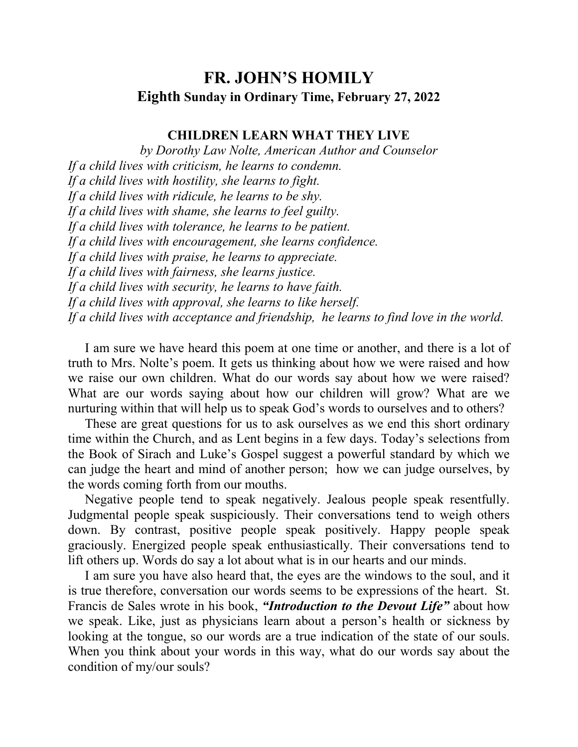## **FR. JOHN'S HOMILY Eighth Sunday in Ordinary Time, February 27, 2022**

## **CHILDREN LEARN WHAT THEY LIVE**

*by Dorothy Law Nolte, American Author and Counselor If a child lives with criticism, he learns to condemn. If a child lives with hostility, she learns to fight. If a child lives with ridicule, he learns to be shy. If a child lives with shame, she learns to feel guilty. If a child lives with tolerance, he learns to be patient. If a child lives with encouragement, she learns confidence. If a child lives with praise, he learns to appreciate. If a child lives with fairness, she learns justice. If a child lives with security, he learns to have faith. If a child lives with approval, she learns to like herself. If a child lives with acceptance and friendship, he learns to find love in the world.* 

 I am sure we have heard this poem at one time or another, and there is a lot of truth to Mrs. Nolte's poem. It gets us thinking about how we were raised and how we raise our own children. What do our words say about how we were raised? What are our words saying about how our children will grow? What are we nurturing within that will help us to speak God's words to ourselves and to others?

 These are great questions for us to ask ourselves as we end this short ordinary time within the Church, and as Lent begins in a few days. Today's selections from the Book of Sirach and Luke's Gospel suggest a powerful standard by which we can judge the heart and mind of another person; how we can judge ourselves, by the words coming forth from our mouths.

 Negative people tend to speak negatively. Jealous people speak resentfully. Judgmental people speak suspiciously. Their conversations tend to weigh others down. By contrast, positive people speak positively. Happy people speak graciously. Energized people speak enthusiastically. Their conversations tend to lift others up. Words do say a lot about what is in our hearts and our minds.

 I am sure you have also heard that, the eyes are the windows to the soul, and it is true therefore, conversation our words seems to be expressions of the heart. St. Francis de Sales wrote in his book, *"Introduction to the Devout Life"* about how we speak. Like, just as physicians learn about a person's health or sickness by looking at the tongue, so our words are a true indication of the state of our souls. When you think about your words in this way, what do our words say about the condition of my/our souls?